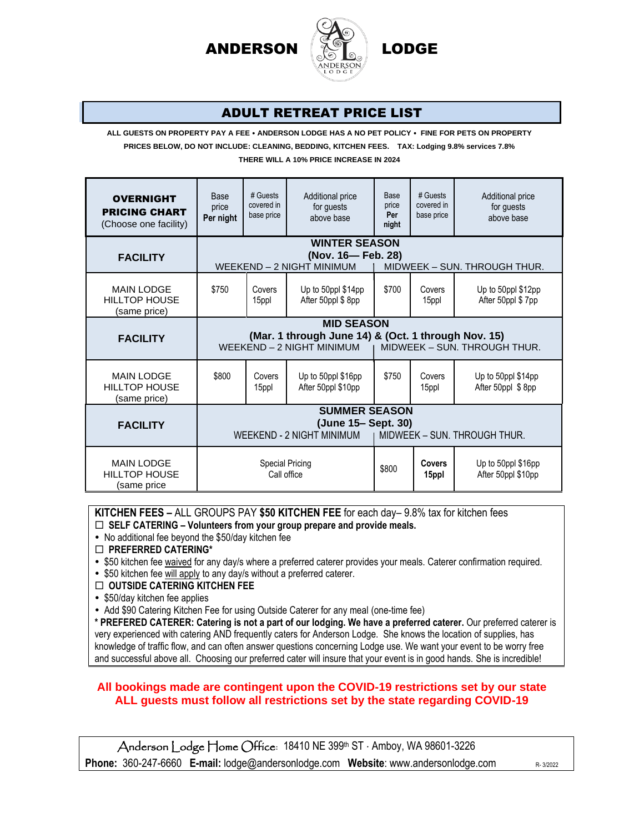

### ADULT RETREAT PRICE LIST

**ALL GUESTS ON PROPERTY PAY A FEE ANDERSON LODGE HAS A NO PET POLICY FINE FOR PETS ON PROPERTY**

**PRICES BELOW, DO NOT INCLUDE: CLEANING, BEDDING, KITCHEN FEES. TAX: Lodging 9.8% services 7.8%**

**THERE WILL A 10% PRICE INCREASE IN 2024**

| <b>OVERNIGHT</b><br><b>PRICING CHART</b><br>(Choose one facility) | Base<br>price<br>Per night                                                                                                            | # Guests<br>covered in<br>base price | Additional price<br>for guests<br>above base | Base<br>price<br>Per<br>night | # Guests<br>covered in<br>base price | Additional price<br>for guests<br>above base |  |
|-------------------------------------------------------------------|---------------------------------------------------------------------------------------------------------------------------------------|--------------------------------------|----------------------------------------------|-------------------------------|--------------------------------------|----------------------------------------------|--|
|                                                                   | <b>WINTER SEASON</b>                                                                                                                  |                                      |                                              |                               |                                      |                                              |  |
| <b>FACILITY</b>                                                   | (Nov. 16- Feb. 28)<br>WEEKEND - 2 NIGHT MINIMUM<br>MIDWEEK - SUN. THROUGH THUR.                                                       |                                      |                                              |                               |                                      |                                              |  |
| <b>MAIN LODGE</b><br><b>HILLTOP HOUSE</b><br>(same price)         | \$750                                                                                                                                 | Covers<br>15ppl                      | Up to 50ppl \$14pp<br>After 50ppl \$8pp      | \$700                         | Covers<br>15ppl                      | Up to 50ppl \$12pp<br>After 50ppl \$7pp      |  |
| <b>FACILITY</b>                                                   | <b>MID SEASON</b><br>(Mar. 1 through June 14) & (Oct. 1 through Nov. 15)<br>WEEKEND - 2 NIGHT MINIMUM<br>MIDWEEK - SUN. THROUGH THUR. |                                      |                                              |                               |                                      |                                              |  |
| <b>MAIN LODGE</b><br><b>HILLTOP HOUSE</b><br>(same price)         | \$800                                                                                                                                 | Covers<br>15ppl                      | Up to 50ppl \$16pp<br>After 50ppl \$10pp     | \$750                         | Covers<br>15ppl                      | Up to 50ppl \$14pp<br>After 50ppl \$8pp      |  |
| <b>FACILITY</b>                                                   | <b>SUMMER SEASON</b><br>(June 15- Sept. 30)<br>WEEKEND - 2 NIGHT MINIMUM<br>MIDWEEK - SUN. THROUGH THUR.                              |                                      |                                              |                               |                                      |                                              |  |
| <b>MAIN LODGE</b><br><b>HILLTOP HOUSE</b><br>(same price          | Special Pricing<br>Call office                                                                                                        |                                      |                                              | \$800                         | <b>Covers</b><br>15ppl               | Up to 50ppl \$16pp<br>After 50ppl \$10pp     |  |

**KITCHEN FEES –** ALL GROUPS PAY **\$50 KITCHEN FEE** for each day– 9.8% tax for kitchen fees

**SELF CATERING – Volunteers from your group prepare and provide meals.**

• No additional fee beyond the \$50/day kitchen fee

**PREFERRED CATERING\***

\$50 kitchen fee waived for any day/s where a preferred caterer provides your meals. Caterer confirmation required.

• \$50 kitchen fee will apply to any day/s without a preferred caterer.

**OUTSIDE CATERING KITCHEN FEE**

• \$50/day kitchen fee applies

• Add \$90 Catering Kitchen Fee for using Outside Caterer for any meal (one-time fee)

**\* PREFERED CATERER: Catering is not a part of our lodging. We have a preferred caterer.** Our preferred caterer is very experienced with catering AND frequently caters for Anderson Lodge. She knows the location of supplies, has knowledge of traffic flow, and can often answer questions concerning Lodge use. We want your event to be worry free and successful above all. Choosing our preferred cater will insure that your event is in good hands. She is incredible!

#### **All bookings made are contingent upon the COVID-19 restrictions set by our state ALL guests must follow all restrictions set by the state regarding COVID-19**

Anderson Lodge Home Office: 18410 NE 399th ST · Amboy, WA 98601-3226 **Phone:** 360-247-6660 **E-mail:** lodge@andersonlodge.com Website: www.andersonlodge.com R-3/2022